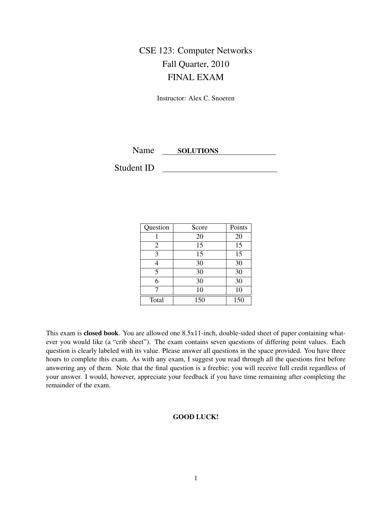# CSE 123: Computer Networks Fall Quarter, 2010 FINAL EXAM

Instructor: Alex C. Snoeren

Name SOLUTIONS

Student ID

| Question       | Score | Points |
|----------------|-------|--------|
|                | 20    | 20     |
| $\overline{2}$ | 15    | 15     |
| 3              | 15    | 15     |
| 4              | 30    | 30     |
| 5              | 30    | 30     |
| 6              | 30    | 30     |
| 7              | 10    | 10     |
| Total          | 150   | 150    |

This exam is closed book. You are allowed one 8.5x11-inch, double-sided sheet of paper containing whatever you would like (a "crib sheet"). The exam contains seven questions of differing point values. Each question is clearly labeled with its value. Please answer all questions in the space provided. You have three hours to complete this exam. As with any exam, I suggest you read through all the questions first before answering any of them. Note that the final question is a freebie; you will receive full credit regardless of your answer. I would, however, appreciate your feedback if you have time remaining after completing the remainder of the exam.

## GOOD LUCK!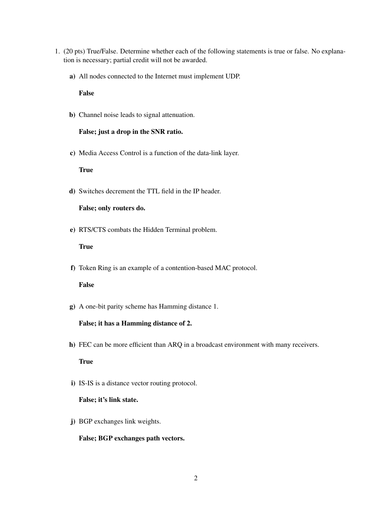- 1. (20 pts) True/False. Determine whether each of the following statements is true or false. No explanation is necessary; partial credit will not be awarded.
	- a) All nodes connected to the Internet must implement UDP.

False

b) Channel noise leads to signal attenuation.

#### False; just a drop in the SNR ratio.

c) Media Access Control is a function of the data-link layer.

True

d) Switches decrement the TTL field in the IP header.

False; only routers do.

e) RTS/CTS combats the Hidden Terminal problem.

**True** 

f) Token Ring is an example of a contention-based MAC protocol.

## False

g) A one-bit parity scheme has Hamming distance 1.

#### False; it has a Hamming distance of 2.

h) FEC can be more efficient than ARQ in a broadcast environment with many receivers.

True

i) IS-IS is a distance vector routing protocol.

### False; it's link state.

j) BGP exchanges link weights.

#### False; BGP exchanges path vectors.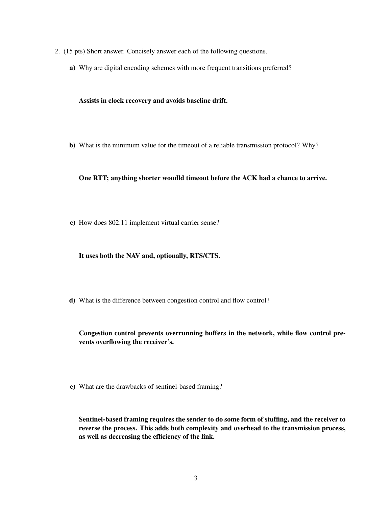- 2. (15 pts) Short answer. Concisely answer each of the following questions.
	- a) Why are digital encoding schemes with more frequent transitions preferred?

Assists in clock recovery and avoids baseline drift.

b) What is the minimum value for the timeout of a reliable transmission protocol? Why?

One RTT; anything shorter woudld timeout before the ACK had a chance to arrive.

c) How does 802.11 implement virtual carrier sense?

It uses both the NAV and, optionally, RTS/CTS.

d) What is the difference between congestion control and flow control?

Congestion control prevents overrunning buffers in the network, while flow control prevents overflowing the receiver's.

e) What are the drawbacks of sentinel-based framing?

Sentinel-based framing requires the sender to do some form of stuffing, and the receiver to reverse the process. This adds both complexity and overhead to the transmission process, as well as decreasing the efficiency of the link.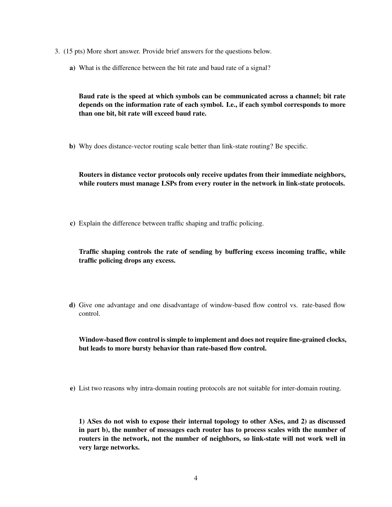- 3. (15 pts) More short answer. Provide brief answers for the questions below.
	- a) What is the difference between the bit rate and baud rate of a signal?

Baud rate is the speed at which symbols can be communicated across a channel; bit rate depends on the information rate of each symbol. I.e., if each symbol corresponds to more than one bit, bit rate will exceed baud rate.

b) Why does distance-vector routing scale better than link-state routing? Be specific.

Routers in distance vector protocols only receive updates from their immediate neighbors, while routers must manage LSPs from every router in the network in link-state protocols.

c) Explain the difference between traffic shaping and traffic policing.

Traffic shaping controls the rate of sending by buffering excess incoming traffic, while traffic policing drops any excess.

d) Give one advantage and one disadvantage of window-based flow control vs. rate-based flow control.

Window-based flow control is simple to implement and does not require fine-grained clocks, but leads to more bursty behavior than rate-based flow control.

e) List two reasons why intra-domain routing protocols are not suitable for inter-domain routing.

1) ASes do not wish to expose their internal topology to other ASes, and 2) as discussed in part b), the number of messages each router has to process scales with the number of routers in the network, not the number of neighbors, so link-state will not work well in very large networks.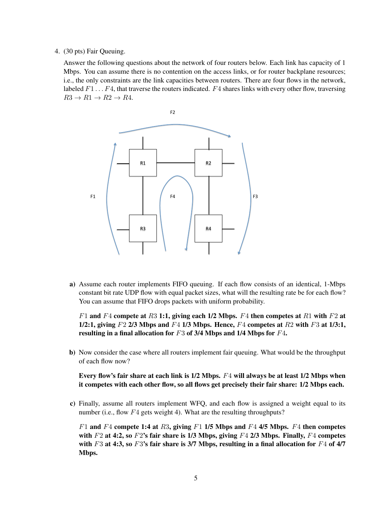#### 4. (30 pts) Fair Queuing.

Answer the following questions about the network of four routers below. Each link has capacity of 1 Mbps. You can assume there is no contention on the access links, or for router backplane resources; i.e., the only constraints are the link capacities between routers. There are four flows in the network, labeled  $F1 \ldots F4$ , that traverse the routers indicated.  $F4$  shares links with every other flow, traversing  $R3 \rightarrow R1 \rightarrow R2 \rightarrow R4$ .



a) Assume each router implements FIFO queuing. If each flow consists of an identical, 1-Mbps constant bit rate UDP flow with equal packet sizes, what will the resulting rate be for each flow? You can assume that FIFO drops packets with uniform probability.

 $F1$  and  $F4$  compete at R3 1:1, giving each 1/2 Mbps.  $F4$  then competes at R1 with F2 at 1/2:1, giving  $F2$  2/3 Mbps and  $F4$  1/3 Mbps. Hence,  $F4$  competes at  $R2$  with  $F3$  at 1/3:1, resulting in a final allocation for F3 of 3/4 Mbps and 1/4 Mbps for F4.

b) Now consider the case where all routers implement fair queuing. What would be the throughput of each flow now?

Every flow's fair share at each link is  $1/2$  Mbps.  $F4$  will always be at least  $1/2$  Mbps when it competes with each other flow, so all flows get precisely their fair share: 1/2 Mbps each.

c) Finally, assume all routers implement WFQ, and each flow is assigned a weight equal to its number (i.e., flow  $F4$  gets weight 4). What are the resulting throughputs?

 $F1$  and  $F4$  compete 1:4 at R3, giving  $F1$  1/5 Mbps and  $F4$  4/5 Mbps.  $F4$  then competes with  $F2$  at 4:2, so  $F2$ 's fair share is 1/3 Mbps, giving  $F4$  2/3 Mbps. Finally,  $F4$  competes with F3 at 4:3, so F3's fair share is 3/7 Mbps, resulting in a final allocation for F4 of 4/7 Mbps.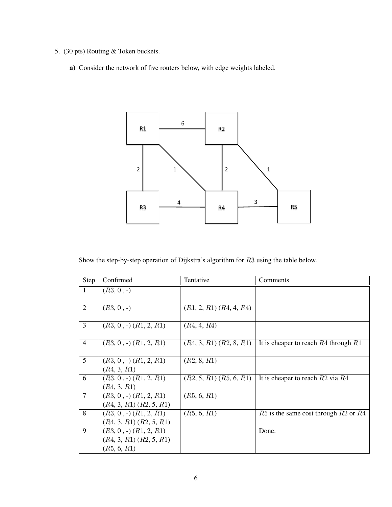- 5. (30 pts) Routing & Token buckets.
	- a) Consider the network of five routers below, with edge weights labeled.



Show the step-by-step operation of Dijkstra's algorithm for R3 using the table below.

| Step           | Confirmed                      | Tentative                   | Comments                                   |
|----------------|--------------------------------|-----------------------------|--------------------------------------------|
| 1              | $(R3, 0, -)$                   |                             |                                            |
|                |                                |                             |                                            |
| $\overline{2}$ | $(R3, 0, -)$                   | $(R1, 2, R1)$ $(R4, 4, R4)$ |                                            |
|                |                                |                             |                                            |
| $\overline{3}$ | $(R3, 0, -)$ $(R1, 2, R1)$     | (R4, 4, R4)                 |                                            |
|                |                                |                             |                                            |
| $\overline{4}$ | $(R3, 0, -)$ $(R1, 2, R1)$     | $(R4, 3, R1)$ $(R2, 8, R1)$ | It is cheaper to reach $R4$ through $R1$   |
|                |                                |                             |                                            |
| 5              | $(R3, 0, -)$ $(R1, 2, R1)$     | (R2, 8, R1)                 |                                            |
|                | (R4, 3, R1)                    |                             |                                            |
| 6              | $(R3, 0, \cdot)$ $(R1, 2, R1)$ | $(R2, 5, R1)$ $(R5, 6, R1)$ | It is cheaper to reach $R2$ via $R4$       |
|                | (R4, 3, R1)                    |                             |                                            |
| $\overline{7}$ | $(R3, 0, -)$ $(R1, 2, R1)$     | (R5, 6, R1)                 |                                            |
|                | $(R4, 3, R1)$ $(R2, 5, R1)$    |                             |                                            |
| 8              | $(R3, 0, -)$ $(R1, 2, R1)$     | (R5, 6, R1)                 | $R5$ is the same cost through $R2$ or $R4$ |
|                | $(R4, 3, R1)$ $(R2, 5, R1)$    |                             |                                            |
| 9              | $(R3, 0, \cdot)$ $(R1, 2, R1)$ |                             | Done.                                      |
|                | $(R4, 3, R1)$ $(R2, 5, R1)$    |                             |                                            |
|                | (R5, 6, R1)                    |                             |                                            |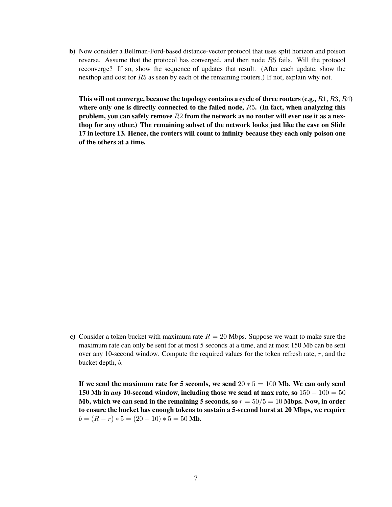b) Now consider a Bellman-Ford-based distance-vector protocol that uses split horizon and poison reverse. Assume that the protocol has converged, and then node R5 fails. Will the protocol reconverge? If so, show the sequence of updates that result. (After each update, show the nexthop and cost for R5 as seen by each of the remaining routers.) If not, explain why not.

This will not converge, because the topology contains a cycle of three routers (e.g.,  $R1, R3, R4$ ) where only one is directly connected to the failed node, R5. (In fact, when analyzing this problem, you can safely remove  $R2$  from the network as no router will ever use it as a nexthop for any other.) The remaining subset of the network looks just like the case on Slide 17 in lecture 13. Hence, the routers will count to infinity because they each only poison one of the others at a time.

c) Consider a token bucket with maximum rate  $R = 20$  Mbps. Suppose we want to make sure the maximum rate can only be sent for at most 5 seconds at a time, and at most 150 Mb can be sent over any 10-second window. Compute the required values for the token refresh rate, r, and the bucket depth, b.

If we send the maximum rate for 5 seconds, we send  $20 * 5 = 100$  Mb. We can only send 150 Mb in *any* 10-second window, including those we send at max rate, so 150 − 100 = 50 Mb, which we can send in the remaining 5 seconds, so  $r = 50/5 = 10$  Mbps. Now, in order to ensure the bucket has enough tokens to sustain a 5-second burst at 20 Mbps, we require  $b = (R - r) * 5 = (20 - 10) * 5 = 50$  Mb.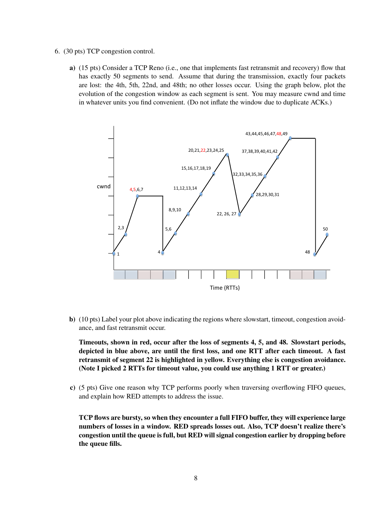- 6. (30 pts) TCP congestion control.
	- a) (15 pts) Consider a TCP Reno (i.e., one that implements fast retransmit and recovery) flow that has exactly 50 segments to send. Assume that during the transmission, exactly four packets are lost: the 4th, 5th, 22nd, and 48th; no other losses occur. Using the graph below, plot the evolution of the congestion window as each segment is sent. You may measure cwnd and time in whatever units you find convenient. (Do not inflate the window due to duplicate ACKs.)



b) (10 pts) Label your plot above indicating the regions where slowstart, timeout, congestion avoidance, and fast retransmit occur.

Timeouts, shown in red, occur after the loss of segments 4, 5, and 48. Slowstart periods, depicted in blue above, are until the first loss, and one RTT after each timeout. A fast retransmit of segment 22 is highlighted in yellow. Everything else is congestion avoidance. (Note I picked 2 RTTs for timeout value, you could use anything 1 RTT or greater.)

c) (5 pts) Give one reason why TCP performs poorly when traversing overflowing FIFO queues, and explain how RED attempts to address the issue.

TCP flows are bursty, so when they encounter a full FIFO buffer, they will experience large numbers of losses in a window. RED spreads losses out. Also, TCP doesn't realize there's congestion until the queue is full, but RED will signal congestion earlier by dropping before the queue fills.